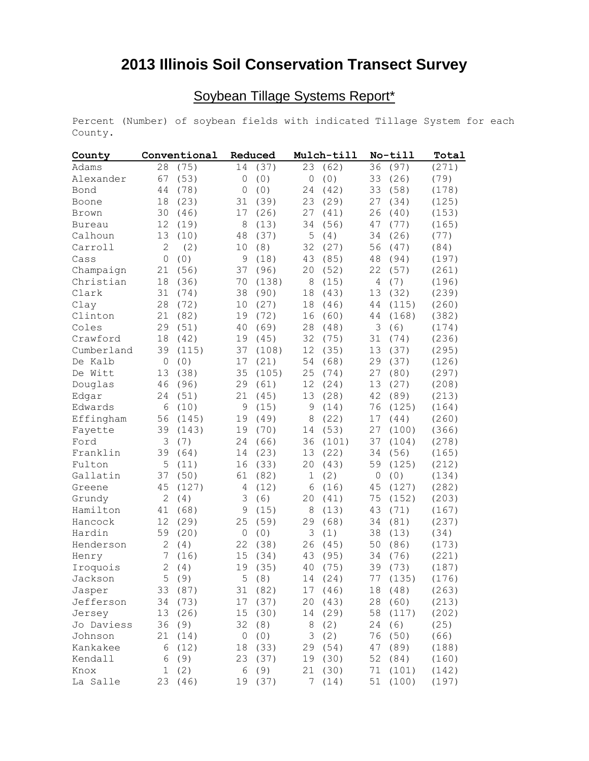## **2013 Illinois Soil Conservation Transect Survey**

## Soybean Tillage Systems Report\*

Percent (Number) of soybean fields with indicated Tillage System for each County.

| County        | Conventional   |       | Reduced         |         | Mulch-till |        | No-till |          | Total |
|---------------|----------------|-------|-----------------|---------|------------|--------|---------|----------|-------|
| Adams         | 28             | (75)  | 14              | (37)    | 23         | (62)   | 36      | (97)     | (271) |
| Alexander     | 67             | (53)  | 0               | (0)     | $\circ$    | (0)    | 33      | (26)     | (79)  |
| Bond          | 44             | (78)  | 0               | (0)     | 24         | (42)   | 33      | (58)     | (178) |
| Boone         | 18             | (23)  | 31              | (39)    | 23         | (29)   | 27      | (34)     | (125) |
| Brown         | 30             | (46)  | 17              | (26)    | 27         | (41)   | 26      | (40)     | (153) |
| <b>Bureau</b> | 12             | (19)  | 8               | (13)    | 34         | (56)   | 47      | (77)     | (165) |
| Calhoun       | 13             | (10)  | 48              | (37)    | 5          | (4)    | 34      | (26)     | (77)  |
| Carroll       | 2              | (2)   | 10              | (8)     | 32         | (27)   | 56      | (47)     | (84)  |
| Cass          | 0              | (0)   | 9               | (18)    | 43         | (85)   | 48      | (94)     | (197) |
| Champaign     | 21             | (56)  | 37              | (96)    | 20         | (52)   | 22      | (57)     | (261) |
| Christian     | 18             | (36)  | 70              | (138)   | 8          | (15)   | 4       | (7)      | (196) |
| Clark         | 31             | (74)  | 38              | (90)    | 18         | (43)   | 13      | (32)     | (239) |
| Clay          | 28             | (72)  | 10              | (27)    | 18         | (46)   | 44      | (115)    | (260) |
| Clinton       | 21             | (82)  | 19              | (72)    | 16         | (60)   | 44      | (168)    | (382) |
| Coles         | 29             | (51)  | 40              | (69)    | 28         | (48)   | 3       | (6)      | (174) |
| Crawford      | 18             | (42)  | 19              | (45)    | 32         | (75)   | 31      | (74)     | (236) |
| Cumberland    | 39             | (115) | 37              | (108)   | 12         | (35)   | 13      | (37)     | (295) |
| De Kalb       | $\circ$        | (0)   | 17              | (21)    | 54         | (68)   | 29      | (37)     | (126) |
| De Witt       | 13             | (38)  | 35              | (105)   | 25         | (74)   | 27      | (80)     | (297) |
| Douglas       | 46             | (96)  | 29              | (61)    | 12         | (24)   | 13      | (27)     | (208) |
| Edgar         | 24             | (51)  | 21              | (45)    | 13         | (28)   | 42      | (89)     | (213) |
| Edwards       | 6              | (10)  | 9               | (15)    | 9          | (14)   | 76      | (125)    | (164) |
| Effingham     | 56             | (145) | 19              | (49)    | 8          | (22)   | 17      | (44)     | (260) |
| Fayette       | 39             | (143) | 19              | (70)    | 14         | (53)   | 27      | (100)    | (366) |
| Ford          | 3              | (7)   | 24              | (66)    | 36         | (101)  | 37      | (104)    | (278) |
| Franklin      | 39             | (64)  | 14              | (23)    | 13         | (22)   | 34      | (56)     | (165) |
| Fulton        | 5              | (11)  | 16              | (33)    | 20         | (43)   | 59      | (125)    | (212) |
| Gallatin      | 37             | (50)  | 61              | (82)    | 1          | (2)    | $\circ$ | (0)      | (134) |
| Greene        | 45             | (127) | 4               | (12)    | 6          | (16)   | 45      | (127)    | (282) |
| Grundy        | $\overline{2}$ | (4)   | 3               | (6)     | 20         | (41)   | 75      | (152)    | (203) |
| Hamilton      | 41             | (68)  | 9               | (15)    | 8          | (13)   | 43      | (71)     | (167) |
| Hancock       | 12             | (29)  | 25              | (59)    | 29         | (68)   | 34      | (81)     | (237) |
| Hardin        | 59             | (20)  | 0               | (0)     | 3          | (1)    | 38      | (13)     | (34)  |
| Henderson     | 2              | (4)   | 22              | (38)    | 26         | (45)   | 50      | (86)     | (173) |
| Henry         | 7              | (16)  | 15              | (34)    | 43         | (95)   | 34      | (76)     | (221) |
| Iroquois      | $\overline{c}$ | (4)   | 19              | (35)    | 40         | (75)   | 39      | (73)     | (187) |
| Jackson       |                | 5(9)  |                 | 5(8)    |            | 14(24) |         | 77 (135) | (176) |
| Jasper        | 33             | (87)  |                 | 31 (82) | 17         | (46)   | 18      | (48)     | (263) |
| Jefferson     | 34             | (73)  | 17              | (37)    | 20         | (43)   | 28      | (60)     | (213) |
| Jersey        | 13             | (26)  | 15 <sub>1</sub> | (30)    | 14         | (29)   | 58      | (117)    | (202) |
| Jo Daviess    | 36             | (9)   | 32              | (8)     | 8          | (2)    | 24      | (6)      | (25)  |
| Johnson       | 21             | (14)  | 0               | (0)     | 3          | (2)    | 76      | (50)     | (66)  |
| Kankakee      | 6              | (12)  | 18              | (33)    | 29         | (54)   | 47      | (89)     | (188) |
| Kendall       | 6              | (9)   | 23              | (37)    | 19         | (30)   | 52      | (84)     | (160) |
| Knox          | $\mathbf 1$    | (2)   |                 | 6(9)    | 21         | (30)   | 71      | (101)    | (142) |
| La Salle      | 23             | (46)  |                 | 19 (37) | 7          | (14)   | 51      | (100)    | (197) |